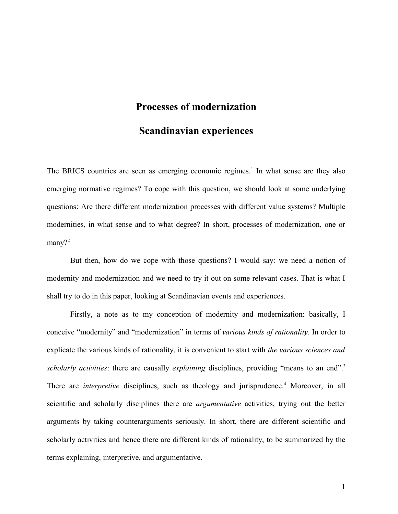# **Processes of modernization Scandinavian experiences**

The BRICS countries are seen as emerging economic regimes.<sup>[1](#page-17-0)</sup> In what sense are they also emerging normative regimes? To cope with this question, we should look at some underlying questions: Are there different modernization processes with different value systems? Multiple modernities, in what sense and to what degree? In short, processes of modernization, one or many?<sup>[2](#page-17-1)</sup>

But then, how do we cope with those questions? I would say: we need a notion of modernity and modernization and we need to try it out on some relevant cases. That is what I shall try to do in this paper, looking at Scandinavian events and experiences.

Firstly, a note as to my conception of modernity and modernization: basically, I conceive "modernity" and "modernization" in terms of *various kinds of rationality*. In order to explicate the various kinds of rationality, it is convenient to start with *the various sciences and scholarly activities*: there are causally *explaining* disciplines, providing "means to an end".[3](#page-17-2) There are *interpretive* disciplines, such as theology and jurisprudence.<sup>[4](#page-17-3)</sup> Moreover, in all scientific and scholarly disciplines there are *argumentative* activities, trying out the better arguments by taking counterarguments seriously. In short, there are different scientific and scholarly activities and hence there are different kinds of rationality, to be summarized by the terms explaining, interpretive, and argumentative.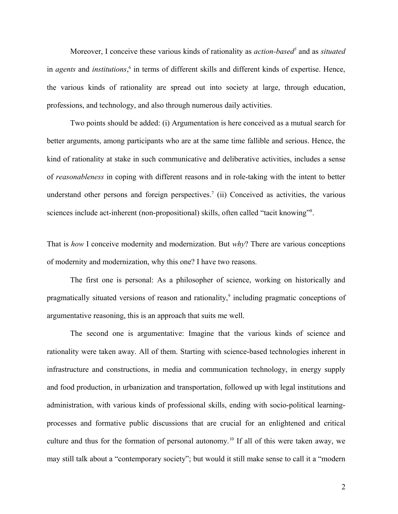Moreover, I conceive these various kinds of rationality as *action-based[5](#page-17-4)* and as *situated* in *agents* and *institutions*, [6](#page-17-5) in terms of different skills and different kinds of expertise. Hence, the various kinds of rationality are spread out into society at large, through education, professions, and technology, and also through numerous daily activities.

Two points should be added: (i) Argumentation is here conceived as a mutual search for better arguments, among participants who are at the same time fallible and serious. Hence, the kind of rationality at stake in such communicative and deliberative activities, includes a sense of *reasonableness* in coping with different reasons and in role-taking with the intent to better understand other persons and foreign perspectives.<sup>[7](#page-17-6)</sup> (ii) Conceived as activities, the various sciences include act-inherent (non-propositional) skills, often called "tacit knowing"<sup>[8](#page-17-7)</sup>.

That is *how* I conceive modernity and modernization. But *why*? There are various conceptions of modernity and modernization, why this one? I have two reasons.

The first one is personal: As a philosopher of science, working on historically and pragmatically situated versions of reason and rationality,<sup>[9](#page-17-8)</sup> including pragmatic conceptions of argumentative reasoning, this is an approach that suits me well.

The second one is argumentative: Imagine that the various kinds of science and rationality were taken away. All of them. Starting with science-based technologies inherent in infrastructure and constructions, in media and communication technology, in energy supply and food production, in urbanization and transportation, followed up with legal institutions and administration, with various kinds of professional skills, ending with socio-political learningprocesses and formative public discussions that are crucial for an enlightened and critical culture and thus for the formation of personal autonomy.<sup>[10](#page-17-9)</sup> If all of this were taken away, we may still talk about a "contemporary society"; but would it still make sense to call it a "modern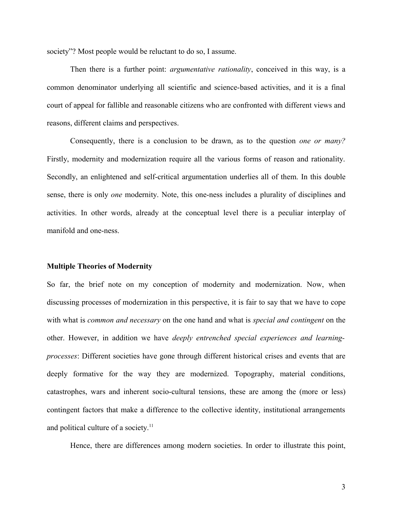society"? Most people would be reluctant to do so, I assume.

Then there is a further point: *argumentative rationality*, conceived in this way, is a common denominator underlying all scientific and science-based activities, and it is a final court of appeal for fallible and reasonable citizens who are confronted with different views and reasons, different claims and perspectives.

Consequently, there is a conclusion to be drawn, as to the question *one or many?* Firstly, modernity and modernization require all the various forms of reason and rationality. Secondly, an enlightened and self-critical argumentation underlies all of them. In this double sense, there is only *one* modernity. Note, this one-ness includes a plurality of disciplines and activities. In other words, already at the conceptual level there is a peculiar interplay of manifold and one-ness.

#### **Multiple Theories of Modernity**

So far, the brief note on my conception of modernity and modernization. Now, when discussing processes of modernization in this perspective, it is fair to say that we have to cope with what is *common and necessary* on the one hand and what is *special and contingent* on the other. However, in addition we have *deeply entrenched special experiences and learningprocesses*: Different societies have gone through different historical crises and events that are deeply formative for the way they are modernized. Topography, material conditions, catastrophes, wars and inherent socio-cultural tensions, these are among the (more or less) contingent factors that make a difference to the collective identity, institutional arrangements and political culture of a society.<sup>[11](#page-17-10)</sup>

Hence, there are differences among modern societies. In order to illustrate this point,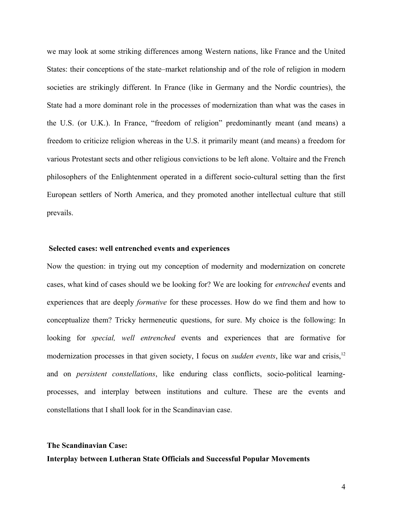we may look at some striking differences among Western nations, like France and the United States: their conceptions of the state–market relationship and of the role of religion in modern societies are strikingly different. In France (like in Germany and the Nordic countries), the State had a more dominant role in the processes of modernization than what was the cases in the U.S. (or U.K.). In France, "freedom of religion" predominantly meant (and means) a freedom to criticize religion whereas in the U.S. it primarily meant (and means) a freedom for various Protestant sects and other religious convictions to be left alone. Voltaire and the French philosophers of the Enlightenment operated in a different socio-cultural setting than the first European settlers of North America, and they promoted another intellectual culture that still prevails.

#### **Selected cases: well entrenched events and experiences**

Now the question: in trying out my conception of modernity and modernization on concrete cases, what kind of cases should we be looking for? We are looking for *entrenched* events and experiences that are deeply *formative* for these processes. How do we find them and how to conceptualize them? Tricky hermeneutic questions, for sure. My choice is the following: In looking for *special, well entrenched* events and experiences that are formative for modernization processes in that given society, I focus on *sudden events*, like war and crisis,<sup>[12](#page-17-11)</sup> and on *persistent constellations*, like enduring class conflicts, socio-political learningprocesses, and interplay between institutions and culture. These are the events and constellations that I shall look for in the Scandinavian case.

## **The Scandinavian Case: Interplay between Lutheran State Officials and Successful Popular Movements**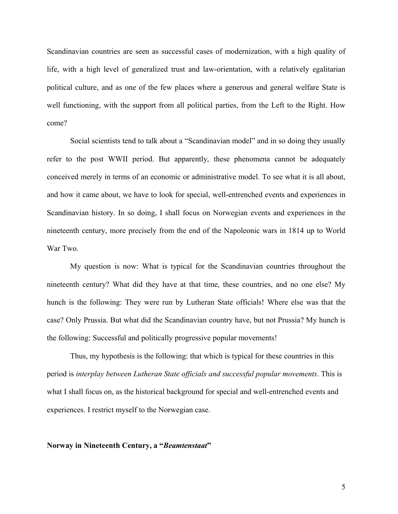Scandinavian countries are seen as successful cases of modernization, with a high quality of life, with a high level of generalized trust and law-orientation, with a relatively egalitarian political culture, and as one of the few places where a generous and general welfare State is well functioning, with the support from all political parties, from the Left to the Right. How come?

Social scientists tend to talk about a "Scandinavian model" and in so doing they usually refer to the post WWII period. But apparently, these phenomena cannot be adequately conceived merely in terms of an economic or administrative model. To see what it is all about, and how it came about, we have to look for special, well-entrenched events and experiences in Scandinavian history. In so doing, I shall focus on Norwegian events and experiences in the nineteenth century, more precisely from the end of the Napoleonic wars in 1814 up to World War Two.

My question is now: What is typical for the Scandinavian countries throughout the nineteenth century? What did they have at that time, these countries, and no one else? My hunch is the following: They were run by Lutheran State officials! Where else was that the case? Only Prussia. But what did the Scandinavian country have, but not Prussia? My hunch is the following: Successful and politically progressive popular movements!

Thus, my hypothesis is the following: that which is typical for these countries in this period is *interplay between Lutheran State officials and successful popular movements*. This is what I shall focus on, as the historical background for special and well-entrenched events and experiences. I restrict myself to the Norwegian case.

#### **Norway in Nineteenth Century, a "***Beamtenstaat***"**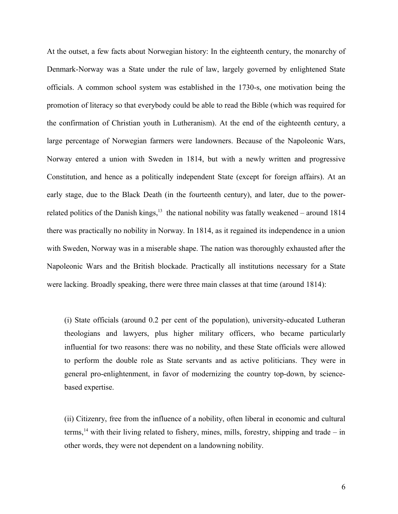At the outset, a few facts about Norwegian history: In the eighteenth century, the monarchy of Denmark-Norway was a State under the rule of law, largely governed by enlightened State officials. A common school system was established in the 1730-s, one motivation being the promotion of literacy so that everybody could be able to read the Bible (which was required for the confirmation of Christian youth in Lutheranism). At the end of the eighteenth century, a large percentage of Norwegian farmers were landowners. Because of the Napoleonic Wars, Norway entered a union with Sweden in 1814, but with a newly written and progressive Constitution, and hence as a politically independent State (except for foreign affairs). At an early stage, due to the Black Death (in the fourteenth century), and later, due to the powerrelated politics of the Danish kings, $13$  the national nobility was fatally weakened – around 1814 there was practically no nobility in Norway. In 1814, as it regained its independence in a union with Sweden, Norway was in a miserable shape. The nation was thoroughly exhausted after the Napoleonic Wars and the British blockade. Practically all institutions necessary for a State were lacking. Broadly speaking, there were three main classes at that time (around 1814):

(i) State officials (around 0.2 per cent of the population), university-educated Lutheran theologians and lawyers, plus higher military officers, who became particularly influential for two reasons: there was no nobility, and these State officials were allowed to perform the double role as State servants and as active politicians. They were in general pro-enlightenment, in favor of modernizing the country top-down, by sciencebased expertise.

(ii) Citizenry, free from the influence of a nobility, often liberal in economic and cultural terms,<sup>[14](#page-17-13)</sup> with their living related to fishery, mines, mills, forestry, shipping and trade – in other words, they were not dependent on a landowning nobility.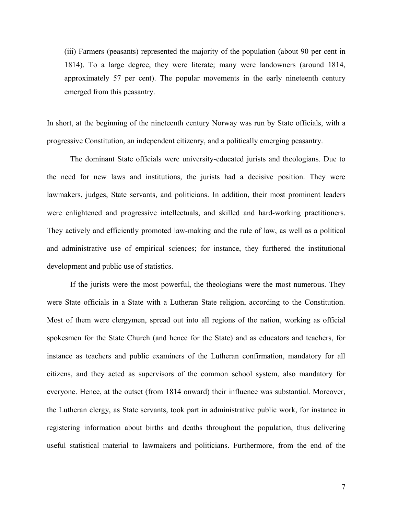(iii) Farmers (peasants) represented the majority of the population (about 90 per cent in 1814). To a large degree, they were literate; many were landowners (around 1814, approximately 57 per cent). The popular movements in the early nineteenth century emerged from this peasantry.

In short, at the beginning of the nineteenth century Norway was run by State officials, with a progressive Constitution, an independent citizenry, and a politically emerging peasantry.

The dominant State officials were university-educated jurists and theologians. Due to the need for new laws and institutions, the jurists had a decisive position. They were lawmakers, judges, State servants, and politicians. In addition, their most prominent leaders were enlightened and progressive intellectuals, and skilled and hard-working practitioners. They actively and efficiently promoted law-making and the rule of law, as well as a political and administrative use of empirical sciences; for instance, they furthered the institutional development and public use of statistics.

If the jurists were the most powerful, the theologians were the most numerous. They were State officials in a State with a Lutheran State religion, according to the Constitution. Most of them were clergymen, spread out into all regions of the nation, working as official spokesmen for the State Church (and hence for the State) and as educators and teachers, for instance as teachers and public examiners of the Lutheran confirmation, mandatory for all citizens, and they acted as supervisors of the common school system, also mandatory for everyone. Hence, at the outset (from 1814 onward) their influence was substantial. Moreover, the Lutheran clergy, as State servants, took part in administrative public work, for instance in registering information about births and deaths throughout the population, thus delivering useful statistical material to lawmakers and politicians. Furthermore, from the end of the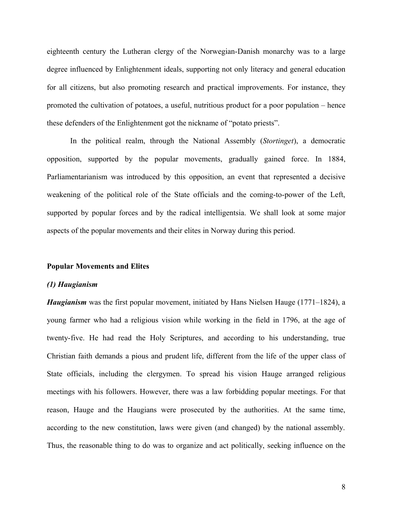eighteenth century the Lutheran clergy of the Norwegian-Danish monarchy was to a large degree influenced by Enlightenment ideals, supporting not only literacy and general education for all citizens, but also promoting research and practical improvements. For instance, they promoted the cultivation of potatoes, a useful, nutritious product for a poor population – hence these defenders of the Enlightenment got the nickname of "potato priests".

In the political realm, through the National Assembly (*Stortinget*), a democratic opposition, supported by the popular movements, gradually gained force. In 1884, Parliamentarianism was introduced by this opposition, an event that represented a decisive weakening of the political role of the State officials and the coming-to-power of the Left, supported by popular forces and by the radical intelligentsia. We shall look at some major aspects of the popular movements and their elites in Norway during this period.

#### **Popular Movements and Elites**

#### *(1) Haugianism*

*Haugianism* was the first popular movement, initiated by Hans Nielsen Hauge (1771–1824), a young farmer who had a religious vision while working in the field in 1796, at the age of twenty-five. He had read the Holy Scriptures, and according to his understanding, true Christian faith demands a pious and prudent life, different from the life of the upper class of State officials, including the clergymen. To spread his vision Hauge arranged religious meetings with his followers. However, there was a law forbidding popular meetings. For that reason, Hauge and the Haugians were prosecuted by the authorities. At the same time, according to the new constitution, laws were given (and changed) by the national assembly. Thus, the reasonable thing to do was to organize and act politically, seeking influence on the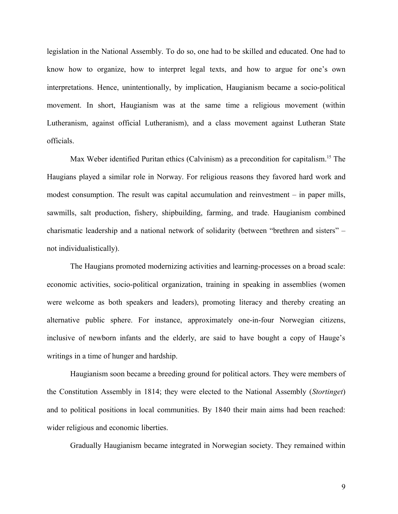legislation in the National Assembly. To do so, one had to be skilled and educated. One had to know how to organize, how to interpret legal texts, and how to argue for one's own interpretations. Hence, unintentionally, by implication, Haugianism became a socio-political movement. In short, Haugianism was at the same time a religious movement (within Lutheranism, against official Lutheranism), and a class movement against Lutheran State officials.

Max Weber identified Puritan ethics (Calvinism) as a precondition for capitalism.<sup>[15](#page-17-14)</sup> The Haugians played a similar role in Norway. For religious reasons they favored hard work and modest consumption. The result was capital accumulation and reinvestment – in paper mills, sawmills, salt production, fishery, shipbuilding, farming, and trade. Haugianism combined charismatic leadership and a national network of solidarity (between "brethren and sisters" – not individualistically).

The Haugians promoted modernizing activities and learning-processes on a broad scale: economic activities, socio-political organization, training in speaking in assemblies (women were welcome as both speakers and leaders), promoting literacy and thereby creating an alternative public sphere. For instance, approximately one-in-four Norwegian citizens, inclusive of newborn infants and the elderly, are said to have bought a copy of Hauge's writings in a time of hunger and hardship.

Haugianism soon became a breeding ground for political actors. They were members of the Constitution Assembly in 1814; they were elected to the National Assembly (*Stortinget*) and to political positions in local communities. By 1840 their main aims had been reached: wider religious and economic liberties.

Gradually Haugianism became integrated in Norwegian society. They remained within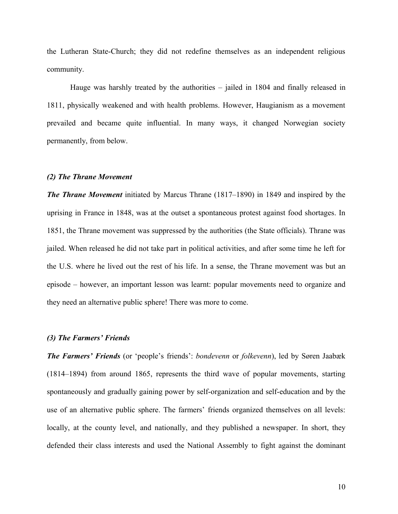the Lutheran State-Church; they did not redefine themselves as an independent religious community.

Hauge was harshly treated by the authorities – jailed in 1804 and finally released in 1811, physically weakened and with health problems. However, Haugianism as a movement prevailed and became quite influential. In many ways, it changed Norwegian society permanently, from below.

#### *(2) The Thrane Movement*

*The Thrane Movement* initiated by Marcus Thrane (1817–1890) in 1849 and inspired by the uprising in France in 1848, was at the outset a spontaneous protest against food shortages. In 1851, the Thrane movement was suppressed by the authorities (the State officials). Thrane was jailed. When released he did not take part in political activities, and after some time he left for the U.S. where he lived out the rest of his life. In a sense, the Thrane movement was but an episode – however, an important lesson was learnt: popular movements need to organize and they need an alternative public sphere! There was more to come.

#### *(3) The Farmers' Friends*

*The Farmers' Friends* (or 'people's friends': *bondevenn* or *folkevenn*), led by Søren Jaabæk (1814–1894) from around 1865, represents the third wave of popular movements, starting spontaneously and gradually gaining power by self-organization and self-education and by the use of an alternative public sphere. The farmers' friends organized themselves on all levels: locally, at the county level, and nationally, and they published a newspaper. In short, they defended their class interests and used the National Assembly to fight against the dominant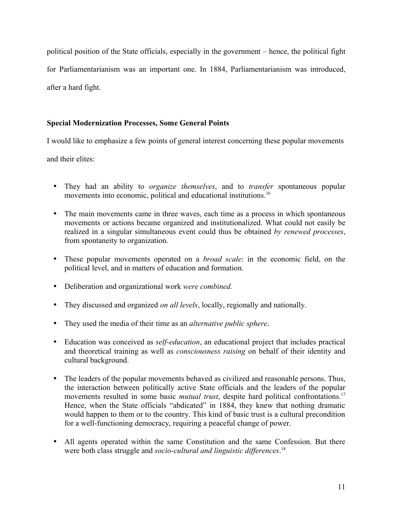political position of the State officials, especially in the government – hence, the political fight for Parliamentarianism was an important one. In 1884, Parliamentarianism was introduced, after a hard fight.

### **Special Modernization Processes, Some General Points**

I would like to emphasize a few points of general interest concerning these popular movements

and their elites:

- They had an ability to *organize themselves*, and to *transfer* spontaneous popular movements into economic, political and educational institutions.<sup>[16](#page-17-15)</sup>
- The main movements came in three waves, each time as a process in which spontaneous movements or actions became organized and institutionalized. What could not easily be realized in a singular simultaneous event could thus be obtained *by renewed processes*, from spontaneity to organization.
- These popular movements operated on a *broad scale*: in the economic field, on the political level, and in matters of education and formation.
- Deliberation and organizational work *were combined.*
- They discussed and organized *on all levels*, locally, regionally and nationally.
- They used the media of their time as an *alternative public sphere*.
- Education was conceived as *self-education*, an educational project that includes practical and theoretical training as well as *consciousness raising* on behalf of their identity and cultural background.
- The leaders of the popular movements behaved as civilized and reasonable persons. Thus, the interaction between politically active State officials and the leaders of the popular movements resulted in some basic *mutual trust*, despite hard political confrontations.<sup>[17](#page-17-16)</sup> Hence, when the State officials "abdicated" in 1884, they knew that nothing dramatic would happen to them or to the country. This kind of basic trust is a cultural precondition for a well-functioning democracy, requiring a peaceful change of power.
- All agents operated within the same Constitution and the same Confession. But there were both class struggle and *socio-cultural and linguistic differences*. [18](#page-17-17)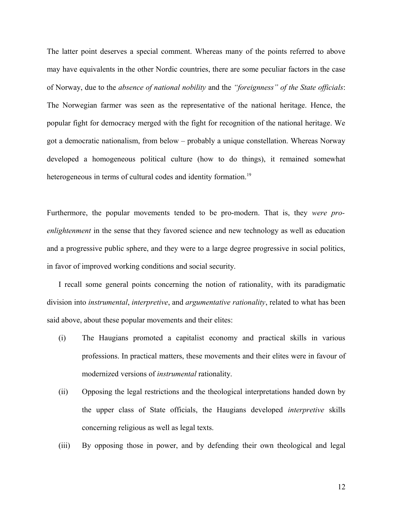The latter point deserves a special comment. Whereas many of the points referred to above may have equivalents in the other Nordic countries, there are some peculiar factors in the case of Norway, due to the *absence of national nobility* and the *"foreignness" of the State officials*: The Norwegian farmer was seen as the representative of the national heritage. Hence, the popular fight for democracy merged with the fight for recognition of the national heritage. We got a democratic nationalism, from below – probably a unique constellation. Whereas Norway developed a homogeneous political culture (how to do things), it remained somewhat heterogeneous in terms of cultural codes and identity formation.<sup>[19](#page-17-18)</sup>

Furthermore, the popular movements tended to be pro-modern. That is, they *were proenlightenment* in the sense that they favored science and new technology as well as education and a progressive public sphere, and they were to a large degree progressive in social politics, in favor of improved working conditions and social security.

I recall some general points concerning the notion of rationality, with its paradigmatic division into *instrumental*, *interpretive*, and *argumentative rationality*, related to what has been said above, about these popular movements and their elites:

- (i) The Haugians promoted a capitalist economy and practical skills in various professions. In practical matters, these movements and their elites were in favour of modernized versions of *instrumental* rationality.
- (ii) Opposing the legal restrictions and the theological interpretations handed down by the upper class of State officials, the Haugians developed *interpretive* skills concerning religious as well as legal texts.
- (iii) By opposing those in power, and by defending their own theological and legal

12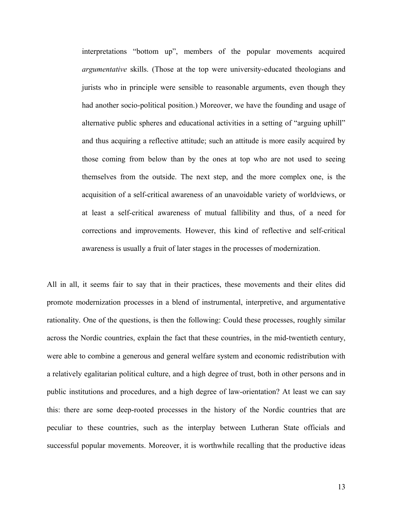interpretations "bottom up", members of the popular movements acquired *argumentative* skills. (Those at the top were university-educated theologians and jurists who in principle were sensible to reasonable arguments, even though they had another socio-political position.) Moreover, we have the founding and usage of alternative public spheres and educational activities in a setting of "arguing uphill" and thus acquiring a reflective attitude; such an attitude is more easily acquired by those coming from below than by the ones at top who are not used to seeing themselves from the outside. The next step, and the more complex one, is the acquisition of a self-critical awareness of an unavoidable variety of worldviews, or at least a self-critical awareness of mutual fallibility and thus, of a need for corrections and improvements. However, this kind of reflective and self-critical awareness is usually a fruit of later stages in the processes of modernization.

All in all, it seems fair to say that in their practices, these movements and their elites did promote modernization processes in a blend of instrumental, interpretive, and argumentative rationality. One of the questions, is then the following: Could these processes, roughly similar across the Nordic countries, explain the fact that these countries, in the mid-twentieth century, were able to combine a generous and general welfare system and economic redistribution with a relatively egalitarian political culture, and a high degree of trust, both in other persons and in public institutions and procedures, and a high degree of law-orientation? At least we can say this: there are some deep-rooted processes in the history of the Nordic countries that are peculiar to these countries, such as the interplay between Lutheran State officials and successful popular movements. Moreover, it is worthwhile recalling that the productive ideas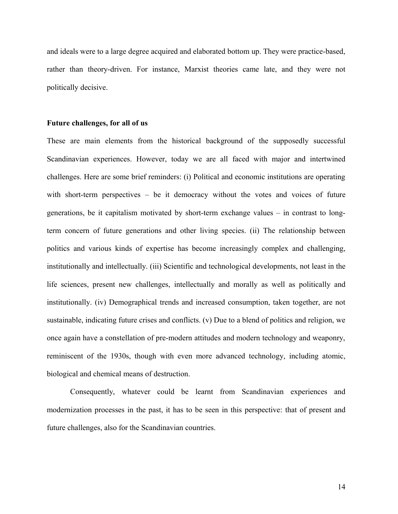and ideals were to a large degree acquired and elaborated bottom up. They were practice-based, rather than theory-driven. For instance, Marxist theories came late, and they were not politically decisive.

#### **Future challenges, for all of us**

These are main elements from the historical background of the supposedly successful Scandinavian experiences. However, today we are all faced with major and intertwined challenges. Here are some brief reminders: (i) Political and economic institutions are operating with short-term perspectives – be it democracy without the votes and voices of future generations, be it capitalism motivated by short-term exchange values – in contrast to longterm concern of future generations and other living species. (ii) The relationship between politics and various kinds of expertise has become increasingly complex and challenging, institutionally and intellectually. (iii) Scientific and technological developments, not least in the life sciences, present new challenges, intellectually and morally as well as politically and institutionally. (iv) Demographical trends and increased consumption, taken together, are not sustainable, indicating future crises and conflicts. (v) Due to a blend of politics and religion, we once again have a constellation of pre-modern attitudes and modern technology and weaponry, reminiscent of the 1930s, though with even more advanced technology, including atomic, biological and chemical means of destruction.

Consequently, whatever could be learnt from Scandinavian experiences and modernization processes in the past, it has to be seen in this perspective: that of present and future challenges, also for the Scandinavian countries.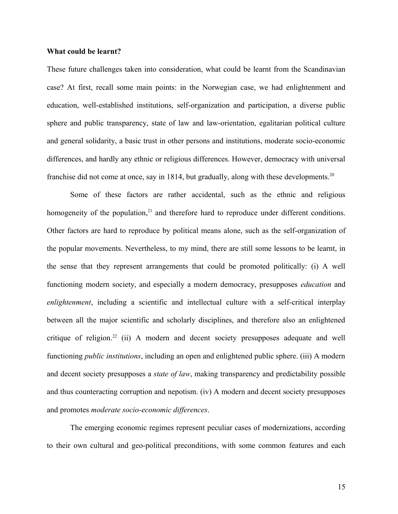#### **What could be learnt?**

These future challenges taken into consideration, what could be learnt from the Scandinavian case? At first, recall some main points: in the Norwegian case, we had enlightenment and education, well-established institutions, self-organization and participation, a diverse public sphere and public transparency, state of law and law-orientation, egalitarian political culture and general solidarity, a basic trust in other persons and institutions, moderate socio-economic differences, and hardly any ethnic or religious differences. However, democracy with universal franchise did not come at once, say in 1814, but gradually, along with these developments.<sup>[20](#page-17-19)</sup>

Some of these factors are rather accidental, such as the ethnic and religious homogeneity of the population,<sup>[21](#page-17-20)</sup> and therefore hard to reproduce under different conditions. Other factors are hard to reproduce by political means alone, such as the self-organization of the popular movements. Nevertheless, to my mind, there are still some lessons to be learnt, in the sense that they represent arrangements that could be promoted politically: (i) A well functioning modern society, and especially a modern democracy, presupposes *education* and *enlightenment*, including a scientific and intellectual culture with a self-critical interplay between all the major scientific and scholarly disciplines, and therefore also an enlightened critique of religion.<sup>[22](#page-17-21)</sup> (ii) A modern and decent society presupposes adequate and well functioning *public institutions*, including an open and enlightened public sphere. (iii) A modern and decent society presupposes a *state of law*, making transparency and predictability possible and thus counteracting corruption and nepotism. (iv) A modern and decent society presupposes and promotes *moderate socio-economic differences*.

The emerging economic regimes represent peculiar cases of modernizations, according to their own cultural and geo-political preconditions, with some common features and each

15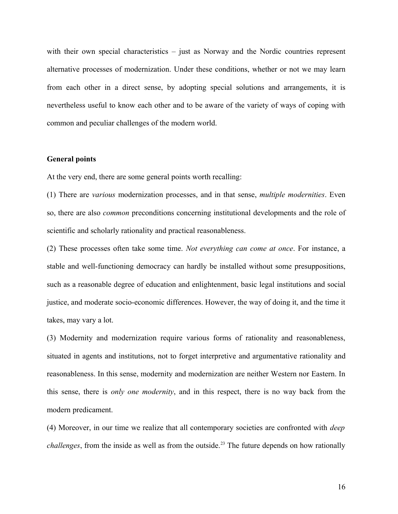with their own special characteristics – just as Norway and the Nordic countries represent alternative processes of modernization. Under these conditions, whether or not we may learn from each other in a direct sense, by adopting special solutions and arrangements, it is nevertheless useful to know each other and to be aware of the variety of ways of coping with common and peculiar challenges of the modern world.

#### **General points**

At the very end, there are some general points worth recalling:

(1) There are *various* modernization processes, and in that sense, *multiple modernities*. Even so, there are also *common* preconditions concerning institutional developments and the role of scientific and scholarly rationality and practical reasonableness.

(2) These processes often take some time. *Not everything can come at once*. For instance, a stable and well-functioning democracy can hardly be installed without some presuppositions, such as a reasonable degree of education and enlightenment, basic legal institutions and social justice, and moderate socio-economic differences. However, the way of doing it, and the time it takes, may vary a lot.

(3) Modernity and modernization require various forms of rationality and reasonableness, situated in agents and institutions, not to forget interpretive and argumentative rationality and reasonableness. In this sense, modernity and modernization are neither Western nor Eastern. In this sense, there is *only one modernity*, and in this respect, there is no way back from the modern predicament.

(4) Moreover, in our time we realize that all contemporary societies are confronted with *deep challenges*, from the inside as well as from the outside.<sup>[23](#page-17-22)</sup> The future depends on how rationally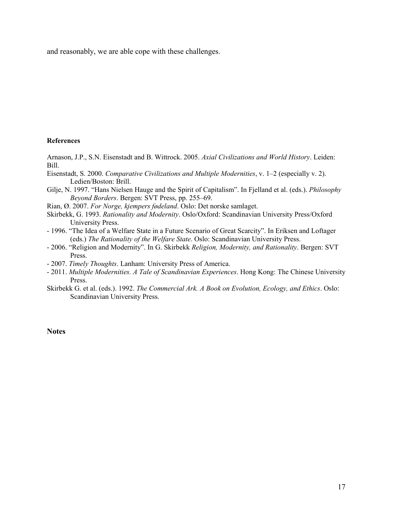and reasonably, we are able cope with these challenges.

#### **References**

Arnason, J.P., S.N. Eisenstadt and B. Wittrock. 2005. *Axial Civilizations and World History*. Leiden: Bill.

Eisenstadt, S. 2000. *Comparative Civilizations and Multiple Modernities*, v. 1–2 (especially v. 2). Ledien/Boston: Brill.

Gilje, N. 1997. "Hans Nielsen Hauge and the Spirit of Capitalism". In Fjelland et al. (eds.). *Philosophy Beyond Borders*. Bergen: SVT Press, pp. 255–69.

- Rian, Ø. 2007. *For Norge, kjempers fødeland*. Oslo: Det norske samlaget.
- Skirbekk, G. 1993. *Rationality and Modernity*. Oslo/Oxford: Scandinavian University Press/Oxford University Press.
- 1996. "The Idea of a Welfare State in a Future Scenario of Great Scarcity". In Eriksen and Loftager (eds.) *The Rationality of the Welfare State*. Oslo: Scandinavian University Press.
- 2006. "Religion and Modernity". In G. Skirbekk *Religion, Modernity, and Rationality*. Bergen: SVT Press.
- 2007. *Timely Thoughts*. Lanham: University Press of America.
- 2011. *Multiple Modernities. A Tale of Scandinavian Experiences*. Hong Kong: The Chinese University Press.
- Skirbekk G. et al. (eds.). 1992. *The Commercial Ark. A Book on Evolution, Ecology, and Ethics*. Oslo: Scandinavian University Press.

#### **Notes**